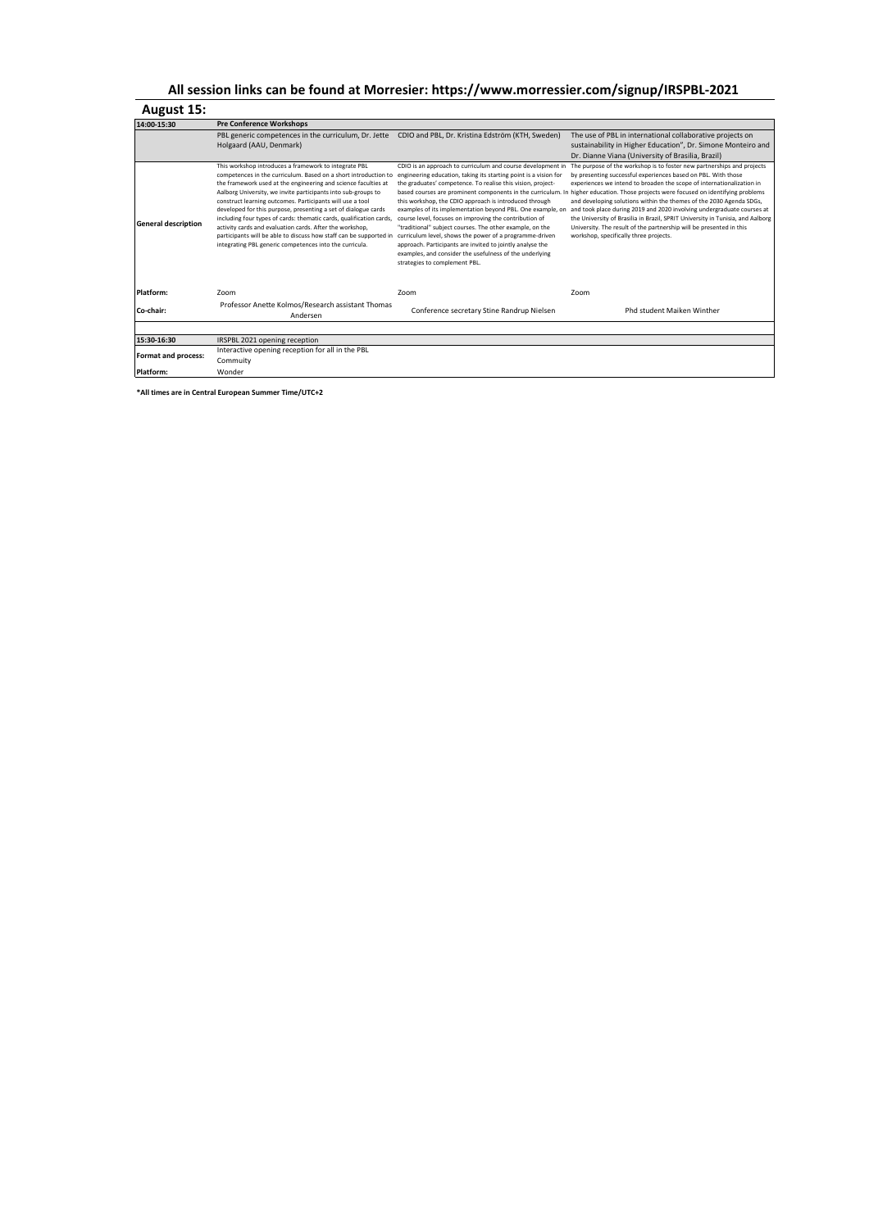## **August 15:**

| 14:00-15:30                | <b>Pre Conference Workshops</b>                                                                                                                                                                                                                                                                                                                                                                                                                                                                                                                                                                                                                                |                                                                                                                                                                                                                                                                                                                                                                                                                                                                                                                                                                                                                                                                  |                                                                                                                                                                                                                                                                                                                                                                                                                                                                                                                                                                                                                                                                                                            |
|----------------------------|----------------------------------------------------------------------------------------------------------------------------------------------------------------------------------------------------------------------------------------------------------------------------------------------------------------------------------------------------------------------------------------------------------------------------------------------------------------------------------------------------------------------------------------------------------------------------------------------------------------------------------------------------------------|------------------------------------------------------------------------------------------------------------------------------------------------------------------------------------------------------------------------------------------------------------------------------------------------------------------------------------------------------------------------------------------------------------------------------------------------------------------------------------------------------------------------------------------------------------------------------------------------------------------------------------------------------------------|------------------------------------------------------------------------------------------------------------------------------------------------------------------------------------------------------------------------------------------------------------------------------------------------------------------------------------------------------------------------------------------------------------------------------------------------------------------------------------------------------------------------------------------------------------------------------------------------------------------------------------------------------------------------------------------------------------|
|                            | PBL generic competences in the curriculum, Dr. Jette                                                                                                                                                                                                                                                                                                                                                                                                                                                                                                                                                                                                           | CDIO and PBL, Dr. Kristina Edström (KTH, Sweden)                                                                                                                                                                                                                                                                                                                                                                                                                                                                                                                                                                                                                 | The use of PBL in international collaborative projects on                                                                                                                                                                                                                                                                                                                                                                                                                                                                                                                                                                                                                                                  |
|                            | Holgaard (AAU, Denmark)                                                                                                                                                                                                                                                                                                                                                                                                                                                                                                                                                                                                                                        |                                                                                                                                                                                                                                                                                                                                                                                                                                                                                                                                                                                                                                                                  | sustainability in Higher Education", Dr. Simone Monteiro and                                                                                                                                                                                                                                                                                                                                                                                                                                                                                                                                                                                                                                               |
|                            |                                                                                                                                                                                                                                                                                                                                                                                                                                                                                                                                                                                                                                                                |                                                                                                                                                                                                                                                                                                                                                                                                                                                                                                                                                                                                                                                                  | Dr. Dianne Viana (University of Brasilia, Brazil)                                                                                                                                                                                                                                                                                                                                                                                                                                                                                                                                                                                                                                                          |
| <b>General description</b> | This workshop introduces a framework to integrate PBL<br>competences in the curriculum. Based on a short introduction to<br>the framework used at the engineering and science faculties at<br>Aalborg University, we invite participants into sub-groups to<br>construct learning outcomes. Participants will use a tool<br>developed for this purpose, presenting a set of dialogue cards<br>including four types of cards: thematic cards, qualification cards,<br>activity cards and evaluation cards. After the workshop,<br>participants will be able to discuss how staff can be supported in<br>integrating PBL generic competences into the curricula. | CDIO is an approach to curriculum and course development in<br>engineering education, taking its starting point is a vision for<br>the graduates' competence. To realise this vision, project-<br>this workshop, the CDIO approach is introduced through<br>examples of its implementation beyond PBL. One example, on<br>course level, focuses on improving the contribution of<br>"traditional" subject courses. The other example, on the<br>curriculum level, shows the power of a programme-driven<br>approach. Participants are invited to jointly analyse the<br>examples, and consider the usefulness of the underlying<br>strategies to complement PBL. | The purpose of the workshop is to foster new partnerships and projects<br>by presenting successful experiences based on PBL. With those<br>experiences we intend to broaden the scope of internationalization in<br>based courses are prominent components in the curriculum. In higher education. Those projects were focused on identifying problems<br>and developing solutions within the themes of the 2030 Agenda SDGs,<br>and took place during 2019 and 2020 involving undergraduate courses at<br>the University of Brasilia in Brazil, SPRIT University in Tunisia, and Aalborg<br>University. The result of the partnership will be presented in this<br>workshop, specifically three projects. |
| Platform:                  | Zoom                                                                                                                                                                                                                                                                                                                                                                                                                                                                                                                                                                                                                                                           | Zoom                                                                                                                                                                                                                                                                                                                                                                                                                                                                                                                                                                                                                                                             | Zoom                                                                                                                                                                                                                                                                                                                                                                                                                                                                                                                                                                                                                                                                                                       |
| Co-chair:                  | Professor Anette Kolmos/Research assistant Thomas<br>Andersen                                                                                                                                                                                                                                                                                                                                                                                                                                                                                                                                                                                                  | Conference secretary Stine Randrup Nielsen                                                                                                                                                                                                                                                                                                                                                                                                                                                                                                                                                                                                                       | Phd student Maiken Winther                                                                                                                                                                                                                                                                                                                                                                                                                                                                                                                                                                                                                                                                                 |
|                            |                                                                                                                                                                                                                                                                                                                                                                                                                                                                                                                                                                                                                                                                |                                                                                                                                                                                                                                                                                                                                                                                                                                                                                                                                                                                                                                                                  |                                                                                                                                                                                                                                                                                                                                                                                                                                                                                                                                                                                                                                                                                                            |
| 15:30-16:30                | IRSPBL 2021 opening reception                                                                                                                                                                                                                                                                                                                                                                                                                                                                                                                                                                                                                                  |                                                                                                                                                                                                                                                                                                                                                                                                                                                                                                                                                                                                                                                                  |                                                                                                                                                                                                                                                                                                                                                                                                                                                                                                                                                                                                                                                                                                            |
| <b>Format and process:</b> | Interactive opening reception for all in the PBL                                                                                                                                                                                                                                                                                                                                                                                                                                                                                                                                                                                                               |                                                                                                                                                                                                                                                                                                                                                                                                                                                                                                                                                                                                                                                                  |                                                                                                                                                                                                                                                                                                                                                                                                                                                                                                                                                                                                                                                                                                            |
|                            | Commuity                                                                                                                                                                                                                                                                                                                                                                                                                                                                                                                                                                                                                                                       |                                                                                                                                                                                                                                                                                                                                                                                                                                                                                                                                                                                                                                                                  |                                                                                                                                                                                                                                                                                                                                                                                                                                                                                                                                                                                                                                                                                                            |
| Platform:                  | Wonder                                                                                                                                                                                                                                                                                                                                                                                                                                                                                                                                                                                                                                                         |                                                                                                                                                                                                                                                                                                                                                                                                                                                                                                                                                                                                                                                                  |                                                                                                                                                                                                                                                                                                                                                                                                                                                                                                                                                                                                                                                                                                            |

**\*All times are in Central European Summer Time/UTC+2**

## **All session links can be found at Morresier: https://www.morressier.com/signup/IRSPBL-2021**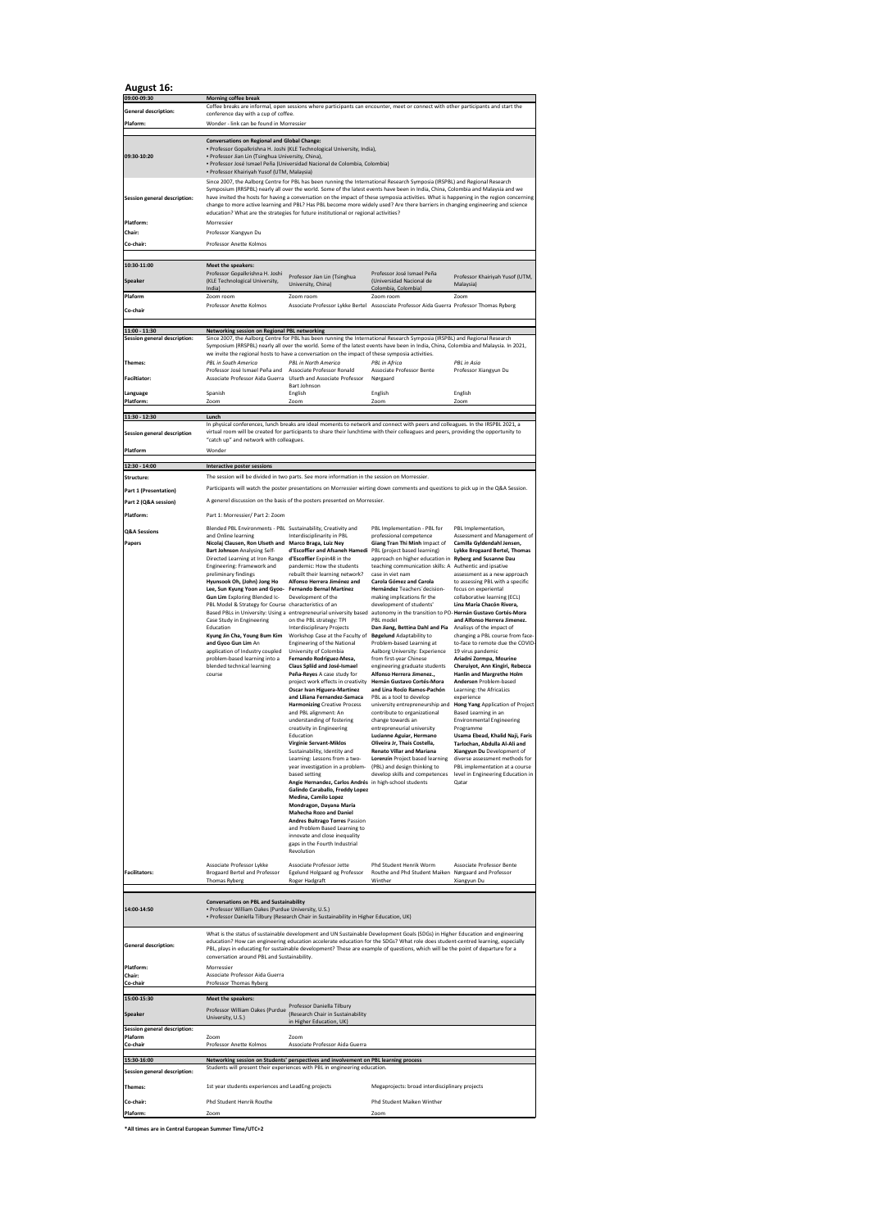## **August 16:**

**\*All times are in Central European Summer Time/UTC+2**

| 09:00-09:30                                         | <b>Morning coffee break</b>                                                                                                                                                                                                                                                                                                                                                                                                                                                                                                                                                                                                                                                                                                                                                                                                                                      |                                                                                                                                                                                                                                                                                                                                                                                                                                                                                                                                                                                                                                                                                                                                                                                                                                                                                                                                                                                                                                                                                                                                                                                                                                                                                                                                                                                                                                    |                                                                                                                                                                                                                                                                                                                                                                                                                                                                                                                                                                                                                                                                                                                                                                                                                                                                                                                                                                                                                                                                                                                                                          |                                                                                                                                                                                                                                                                                                                                                                                                                                                                                                                                                                                                                                                                                                                                                                                                                                                                                                                                                                                  |  |
|-----------------------------------------------------|------------------------------------------------------------------------------------------------------------------------------------------------------------------------------------------------------------------------------------------------------------------------------------------------------------------------------------------------------------------------------------------------------------------------------------------------------------------------------------------------------------------------------------------------------------------------------------------------------------------------------------------------------------------------------------------------------------------------------------------------------------------------------------------------------------------------------------------------------------------|------------------------------------------------------------------------------------------------------------------------------------------------------------------------------------------------------------------------------------------------------------------------------------------------------------------------------------------------------------------------------------------------------------------------------------------------------------------------------------------------------------------------------------------------------------------------------------------------------------------------------------------------------------------------------------------------------------------------------------------------------------------------------------------------------------------------------------------------------------------------------------------------------------------------------------------------------------------------------------------------------------------------------------------------------------------------------------------------------------------------------------------------------------------------------------------------------------------------------------------------------------------------------------------------------------------------------------------------------------------------------------------------------------------------------------|----------------------------------------------------------------------------------------------------------------------------------------------------------------------------------------------------------------------------------------------------------------------------------------------------------------------------------------------------------------------------------------------------------------------------------------------------------------------------------------------------------------------------------------------------------------------------------------------------------------------------------------------------------------------------------------------------------------------------------------------------------------------------------------------------------------------------------------------------------------------------------------------------------------------------------------------------------------------------------------------------------------------------------------------------------------------------------------------------------------------------------------------------------|----------------------------------------------------------------------------------------------------------------------------------------------------------------------------------------------------------------------------------------------------------------------------------------------------------------------------------------------------------------------------------------------------------------------------------------------------------------------------------------------------------------------------------------------------------------------------------------------------------------------------------------------------------------------------------------------------------------------------------------------------------------------------------------------------------------------------------------------------------------------------------------------------------------------------------------------------------------------------------|--|
| <b>General description:</b>                         | Coffee breaks are informal, open sessions where participants can encounter, meet or connect with other participants and start the<br>conference day with a cup of coffee.                                                                                                                                                                                                                                                                                                                                                                                                                                                                                                                                                                                                                                                                                        |                                                                                                                                                                                                                                                                                                                                                                                                                                                                                                                                                                                                                                                                                                                                                                                                                                                                                                                                                                                                                                                                                                                                                                                                                                                                                                                                                                                                                                    |                                                                                                                                                                                                                                                                                                                                                                                                                                                                                                                                                                                                                                                                                                                                                                                                                                                                                                                                                                                                                                                                                                                                                          |                                                                                                                                                                                                                                                                                                                                                                                                                                                                                                                                                                                                                                                                                                                                                                                                                                                                                                                                                                                  |  |
| Plaform:                                            | Wonder - link can be found in Morressier                                                                                                                                                                                                                                                                                                                                                                                                                                                                                                                                                                                                                                                                                                                                                                                                                         |                                                                                                                                                                                                                                                                                                                                                                                                                                                                                                                                                                                                                                                                                                                                                                                                                                                                                                                                                                                                                                                                                                                                                                                                                                                                                                                                                                                                                                    |                                                                                                                                                                                                                                                                                                                                                                                                                                                                                                                                                                                                                                                                                                                                                                                                                                                                                                                                                                                                                                                                                                                                                          |                                                                                                                                                                                                                                                                                                                                                                                                                                                                                                                                                                                                                                                                                                                                                                                                                                                                                                                                                                                  |  |
| 09:30-10:20<br>Session general description:         | <b>Conversations on Regional and Global Change:</b><br>· Professor Gopalkrishna H. Joshi (KLE Technological University, India),<br>· Professor Jian Lin (Tsinghua University, China),<br>- Professor José Ismael Peña (Universidad Nacional de Colombia, Colombia)<br>• Professor Khairiyah Yusof (UTM, Malaysia)<br>Since 2007, the Aalborg Centre for PBL has been running the International Research Symposia (IRSPBL) and Regional Research<br>Symposium (RRSPBL) nearly all over the world. Some of the latest events have been in India, China, Colombia and Malaysia and we<br>have invited the hosts for having a conversation on the impact of these symposia activities. What is happening in the region concerning<br>change to more active learning and PBL? Has PBL become more widely used? Are there barriers in changing engineering and science |                                                                                                                                                                                                                                                                                                                                                                                                                                                                                                                                                                                                                                                                                                                                                                                                                                                                                                                                                                                                                                                                                                                                                                                                                                                                                                                                                                                                                                    |                                                                                                                                                                                                                                                                                                                                                                                                                                                                                                                                                                                                                                                                                                                                                                                                                                                                                                                                                                                                                                                                                                                                                          |                                                                                                                                                                                                                                                                                                                                                                                                                                                                                                                                                                                                                                                                                                                                                                                                                                                                                                                                                                                  |  |
| Platform:                                           | Morressier                                                                                                                                                                                                                                                                                                                                                                                                                                                                                                                                                                                                                                                                                                                                                                                                                                                       | education? What are the strategies for future institutional or regional activities?                                                                                                                                                                                                                                                                                                                                                                                                                                                                                                                                                                                                                                                                                                                                                                                                                                                                                                                                                                                                                                                                                                                                                                                                                                                                                                                                                |                                                                                                                                                                                                                                                                                                                                                                                                                                                                                                                                                                                                                                                                                                                                                                                                                                                                                                                                                                                                                                                                                                                                                          |                                                                                                                                                                                                                                                                                                                                                                                                                                                                                                                                                                                                                                                                                                                                                                                                                                                                                                                                                                                  |  |
| <b>Chair:</b>                                       | Professor Xiangyun Du                                                                                                                                                                                                                                                                                                                                                                                                                                                                                                                                                                                                                                                                                                                                                                                                                                            |                                                                                                                                                                                                                                                                                                                                                                                                                                                                                                                                                                                                                                                                                                                                                                                                                                                                                                                                                                                                                                                                                                                                                                                                                                                                                                                                                                                                                                    |                                                                                                                                                                                                                                                                                                                                                                                                                                                                                                                                                                                                                                                                                                                                                                                                                                                                                                                                                                                                                                                                                                                                                          |                                                                                                                                                                                                                                                                                                                                                                                                                                                                                                                                                                                                                                                                                                                                                                                                                                                                                                                                                                                  |  |
| Co-chair:                                           | Professor Anette Kolmos                                                                                                                                                                                                                                                                                                                                                                                                                                                                                                                                                                                                                                                                                                                                                                                                                                          |                                                                                                                                                                                                                                                                                                                                                                                                                                                                                                                                                                                                                                                                                                                                                                                                                                                                                                                                                                                                                                                                                                                                                                                                                                                                                                                                                                                                                                    |                                                                                                                                                                                                                                                                                                                                                                                                                                                                                                                                                                                                                                                                                                                                                                                                                                                                                                                                                                                                                                                                                                                                                          |                                                                                                                                                                                                                                                                                                                                                                                                                                                                                                                                                                                                                                                                                                                                                                                                                                                                                                                                                                                  |  |
| 10:30-11:00<br><b>Speaker</b>                       | <b>Meet the speakers:</b><br>Professor Gopalkrishna H. Joshi<br>(KLE Technological University,<br>India)                                                                                                                                                                                                                                                                                                                                                                                                                                                                                                                                                                                                                                                                                                                                                         | Professor Jian Lin (Tsinghua<br>University, China)                                                                                                                                                                                                                                                                                                                                                                                                                                                                                                                                                                                                                                                                                                                                                                                                                                                                                                                                                                                                                                                                                                                                                                                                                                                                                                                                                                                 | Professor José Ismael Peña<br>(Universidad Nacional de<br>Colombia, Colombia)                                                                                                                                                                                                                                                                                                                                                                                                                                                                                                                                                                                                                                                                                                                                                                                                                                                                                                                                                                                                                                                                            | Professor Khairiyah Yusof (UTM,<br>Malaysia)                                                                                                                                                                                                                                                                                                                                                                                                                                                                                                                                                                                                                                                                                                                                                                                                                                                                                                                                     |  |
| Plaform                                             | Zoom room                                                                                                                                                                                                                                                                                                                                                                                                                                                                                                                                                                                                                                                                                                                                                                                                                                                        | Zoom room                                                                                                                                                                                                                                                                                                                                                                                                                                                                                                                                                                                                                                                                                                                                                                                                                                                                                                                                                                                                                                                                                                                                                                                                                                                                                                                                                                                                                          | Zoom room                                                                                                                                                                                                                                                                                                                                                                                                                                                                                                                                                                                                                                                                                                                                                                                                                                                                                                                                                                                                                                                                                                                                                | Zoom                                                                                                                                                                                                                                                                                                                                                                                                                                                                                                                                                                                                                                                                                                                                                                                                                                                                                                                                                                             |  |
| Co-chair                                            | Professor Anette Kolmos                                                                                                                                                                                                                                                                                                                                                                                                                                                                                                                                                                                                                                                                                                                                                                                                                                          |                                                                                                                                                                                                                                                                                                                                                                                                                                                                                                                                                                                                                                                                                                                                                                                                                                                                                                                                                                                                                                                                                                                                                                                                                                                                                                                                                                                                                                    | Associate Professor Lykke Bertel Assosciate Professor Aida Guerra Professor Thomas Ryberg                                                                                                                                                                                                                                                                                                                                                                                                                                                                                                                                                                                                                                                                                                                                                                                                                                                                                                                                                                                                                                                                |                                                                                                                                                                                                                                                                                                                                                                                                                                                                                                                                                                                                                                                                                                                                                                                                                                                                                                                                                                                  |  |
| 11:00 - 11:30                                       | Networking session on Regional PBL networking                                                                                                                                                                                                                                                                                                                                                                                                                                                                                                                                                                                                                                                                                                                                                                                                                    |                                                                                                                                                                                                                                                                                                                                                                                                                                                                                                                                                                                                                                                                                                                                                                                                                                                                                                                                                                                                                                                                                                                                                                                                                                                                                                                                                                                                                                    |                                                                                                                                                                                                                                                                                                                                                                                                                                                                                                                                                                                                                                                                                                                                                                                                                                                                                                                                                                                                                                                                                                                                                          |                                                                                                                                                                                                                                                                                                                                                                                                                                                                                                                                                                                                                                                                                                                                                                                                                                                                                                                                                                                  |  |
| <b>Session general description:</b>                 |                                                                                                                                                                                                                                                                                                                                                                                                                                                                                                                                                                                                                                                                                                                                                                                                                                                                  |                                                                                                                                                                                                                                                                                                                                                                                                                                                                                                                                                                                                                                                                                                                                                                                                                                                                                                                                                                                                                                                                                                                                                                                                                                                                                                                                                                                                                                    | Since 2007, the Aalborg Centre for PBL has been running the International Research Symposia (IRSPBL) and Regional Research<br>Symposium (RRSPBL) nearly all over the world. Some of the latest events have been in India, China, Colombia and Malaysia. In 2021,                                                                                                                                                                                                                                                                                                                                                                                                                                                                                                                                                                                                                                                                                                                                                                                                                                                                                         |                                                                                                                                                                                                                                                                                                                                                                                                                                                                                                                                                                                                                                                                                                                                                                                                                                                                                                                                                                                  |  |
| Themes:                                             | <b>PBL in South America</b>                                                                                                                                                                                                                                                                                                                                                                                                                                                                                                                                                                                                                                                                                                                                                                                                                                      | we invite the regional hosts to have a conversation on the impact of these symposia activities.<br><b>PBL in North America</b>                                                                                                                                                                                                                                                                                                                                                                                                                                                                                                                                                                                                                                                                                                                                                                                                                                                                                                                                                                                                                                                                                                                                                                                                                                                                                                     | <b>PBL</b> in Africa                                                                                                                                                                                                                                                                                                                                                                                                                                                                                                                                                                                                                                                                                                                                                                                                                                                                                                                                                                                                                                                                                                                                     | PBL in Asia                                                                                                                                                                                                                                                                                                                                                                                                                                                                                                                                                                                                                                                                                                                                                                                                                                                                                                                                                                      |  |
| <b>Faciltiator:</b>                                 | Professor José Ismael Peña and<br>Associate Professor Aida Guerra                                                                                                                                                                                                                                                                                                                                                                                                                                                                                                                                                                                                                                                                                                                                                                                                | Associate Professor Ronald<br>Ulseth and Associate Professor                                                                                                                                                                                                                                                                                                                                                                                                                                                                                                                                                                                                                                                                                                                                                                                                                                                                                                                                                                                                                                                                                                                                                                                                                                                                                                                                                                       | <b>Associate Professor Bente</b><br>Nørgaard                                                                                                                                                                                                                                                                                                                                                                                                                                                                                                                                                                                                                                                                                                                                                                                                                                                                                                                                                                                                                                                                                                             | Professor Xiangyun Du                                                                                                                                                                                                                                                                                                                                                                                                                                                                                                                                                                                                                                                                                                                                                                                                                                                                                                                                                            |  |
| Language                                            | Spanish                                                                                                                                                                                                                                                                                                                                                                                                                                                                                                                                                                                                                                                                                                                                                                                                                                                          | Bart Johnson<br>English                                                                                                                                                                                                                                                                                                                                                                                                                                                                                                                                                                                                                                                                                                                                                                                                                                                                                                                                                                                                                                                                                                                                                                                                                                                                                                                                                                                                            | English                                                                                                                                                                                                                                                                                                                                                                                                                                                                                                                                                                                                                                                                                                                                                                                                                                                                                                                                                                                                                                                                                                                                                  | English                                                                                                                                                                                                                                                                                                                                                                                                                                                                                                                                                                                                                                                                                                                                                                                                                                                                                                                                                                          |  |
| Platform:                                           | Zoom                                                                                                                                                                                                                                                                                                                                                                                                                                                                                                                                                                                                                                                                                                                                                                                                                                                             | Zoom                                                                                                                                                                                                                                                                                                                                                                                                                                                                                                                                                                                                                                                                                                                                                                                                                                                                                                                                                                                                                                                                                                                                                                                                                                                                                                                                                                                                                               | Zoom                                                                                                                                                                                                                                                                                                                                                                                                                                                                                                                                                                                                                                                                                                                                                                                                                                                                                                                                                                                                                                                                                                                                                     | Zoom                                                                                                                                                                                                                                                                                                                                                                                                                                                                                                                                                                                                                                                                                                                                                                                                                                                                                                                                                                             |  |
| 11:30 - 12:30<br><b>Session general description</b> | Lunch<br>In physical conferences, lunch breaks are ideal moments to network and connect with peers and colleagues. In the IRSPBL 2021, a<br>virtual room will be created for participants to share their lunchtime with their colleagues and peers, providing the opportunity to<br>"catch up" and network with colleagues.                                                                                                                                                                                                                                                                                                                                                                                                                                                                                                                                      |                                                                                                                                                                                                                                                                                                                                                                                                                                                                                                                                                                                                                                                                                                                                                                                                                                                                                                                                                                                                                                                                                                                                                                                                                                                                                                                                                                                                                                    |                                                                                                                                                                                                                                                                                                                                                                                                                                                                                                                                                                                                                                                                                                                                                                                                                                                                                                                                                                                                                                                                                                                                                          |                                                                                                                                                                                                                                                                                                                                                                                                                                                                                                                                                                                                                                                                                                                                                                                                                                                                                                                                                                                  |  |
| Platform                                            | Wonder                                                                                                                                                                                                                                                                                                                                                                                                                                                                                                                                                                                                                                                                                                                                                                                                                                                           |                                                                                                                                                                                                                                                                                                                                                                                                                                                                                                                                                                                                                                                                                                                                                                                                                                                                                                                                                                                                                                                                                                                                                                                                                                                                                                                                                                                                                                    |                                                                                                                                                                                                                                                                                                                                                                                                                                                                                                                                                                                                                                                                                                                                                                                                                                                                                                                                                                                                                                                                                                                                                          |                                                                                                                                                                                                                                                                                                                                                                                                                                                                                                                                                                                                                                                                                                                                                                                                                                                                                                                                                                                  |  |
| 12:30 - 14:00<br>Structure:                         | <b>Interactive poster sessions</b>                                                                                                                                                                                                                                                                                                                                                                                                                                                                                                                                                                                                                                                                                                                                                                                                                               | The session will be divided in two parts. See more information in the session on Morressier.                                                                                                                                                                                                                                                                                                                                                                                                                                                                                                                                                                                                                                                                                                                                                                                                                                                                                                                                                                                                                                                                                                                                                                                                                                                                                                                                       |                                                                                                                                                                                                                                                                                                                                                                                                                                                                                                                                                                                                                                                                                                                                                                                                                                                                                                                                                                                                                                                                                                                                                          |                                                                                                                                                                                                                                                                                                                                                                                                                                                                                                                                                                                                                                                                                                                                                                                                                                                                                                                                                                                  |  |
| <b>Part 1 (Presentation)</b>                        |                                                                                                                                                                                                                                                                                                                                                                                                                                                                                                                                                                                                                                                                                                                                                                                                                                                                  |                                                                                                                                                                                                                                                                                                                                                                                                                                                                                                                                                                                                                                                                                                                                                                                                                                                                                                                                                                                                                                                                                                                                                                                                                                                                                                                                                                                                                                    | Participants will watch the poster presentations on Morressier wirting down comments and questions to pick up in the Q&A Session.                                                                                                                                                                                                                                                                                                                                                                                                                                                                                                                                                                                                                                                                                                                                                                                                                                                                                                                                                                                                                        |                                                                                                                                                                                                                                                                                                                                                                                                                                                                                                                                                                                                                                                                                                                                                                                                                                                                                                                                                                                  |  |
| Part 2 (Q&A session)                                |                                                                                                                                                                                                                                                                                                                                                                                                                                                                                                                                                                                                                                                                                                                                                                                                                                                                  | A generel discussion on the basis of the posters presented on Morressier.                                                                                                                                                                                                                                                                                                                                                                                                                                                                                                                                                                                                                                                                                                                                                                                                                                                                                                                                                                                                                                                                                                                                                                                                                                                                                                                                                          |                                                                                                                                                                                                                                                                                                                                                                                                                                                                                                                                                                                                                                                                                                                                                                                                                                                                                                                                                                                                                                                                                                                                                          |                                                                                                                                                                                                                                                                                                                                                                                                                                                                                                                                                                                                                                                                                                                                                                                                                                                                                                                                                                                  |  |
| Platform:                                           | Part 1: Morressier/ Part 2: Zoom                                                                                                                                                                                                                                                                                                                                                                                                                                                                                                                                                                                                                                                                                                                                                                                                                                 |                                                                                                                                                                                                                                                                                                                                                                                                                                                                                                                                                                                                                                                                                                                                                                                                                                                                                                                                                                                                                                                                                                                                                                                                                                                                                                                                                                                                                                    |                                                                                                                                                                                                                                                                                                                                                                                                                                                                                                                                                                                                                                                                                                                                                                                                                                                                                                                                                                                                                                                                                                                                                          |                                                                                                                                                                                                                                                                                                                                                                                                                                                                                                                                                                                                                                                                                                                                                                                                                                                                                                                                                                                  |  |
| <b>Q&amp;A Sessions</b><br><b>Papers</b>            | Blended PBL Environments - PBL Sustainability, Creativity and<br>and Online learning<br>Nicolaj Clausen, Ron Ulseth and<br><b>Bart Johnson Analysing Self-</b><br>Directed Learning at Iron Range<br>Engineering: Framework and<br>preliminary findings<br>Hyunsook Oh, (John) Jong Ho<br>Lee, Sun Kyung Yoon and Gyoo-<br>Gun Lim Exploring Blended Ic-<br>PBL Model & Strategy for Course characteristics of an<br>Case Study in Engineering<br>Education<br>Kyung Jin Cha, Young Bum Kim<br>and Gyoo Gun Lim An<br>application of Industry coupled<br>problem-based learning into a<br>blended technical learning<br>course<br>Associate Professor Lykke                                                                                                                                                                                                      | Interdisciplinarity in PBL<br><b>Marco Braga, Luiz Ney</b><br>d'Escoffier and Afsaneh Hamedi<br>d'Escoffier Expin48 in the<br>pandemic: How the students<br>rebuilt their learning network?<br>Alfonso Herrera Jiménez and<br><b>Fernando Bernal Martínez</b><br>Development of the<br>Based PBLs in University: Using a entrepreneurial university based<br>on the PBL strategy: TPI<br><b>Interdisciplinary Projects</b><br>Workshop Case at the Faculty of<br><b>Engineering of the National</b><br>University of Colombia<br>Fernando Rodriguez-Mesa,<br><b>Claus Spliid and José-Ismael</b><br>Peña-Reyes A case study for<br>project work effects in creativity<br><b>Oscar Ivan Higuera-Martinez</b><br>and Liliana Fernandez-Samaca<br><b>Harmonizing Creative Process</b><br>and PBL alignment: An<br>understanding of fostering<br>creativity in Engineering<br>Education<br><b>Virginie Servant-Miklos</b><br>Sustainability, Identity and<br>Learning: Lessons from a two-<br>year investigation in a problem-<br>based setting<br>Angie Hernandez, Carlos Andrés in high-school students<br><b>Galindo Caraballo, Freddy Lopez</b><br><b>Medina, Camilo Lopez</b><br>Mondragon, Dayana María<br><b>Mahecha Rozo and Daniel</b><br><b>Andres Buitrago Torres Passion</b><br>and Problem Based Learning to<br>innovate and close inequality<br>gaps in the Fourth Industrial<br>Revolution<br>Associate Professor Jette | PBL Implementation - PBL for<br>professional competence<br>Giang Tran Thi Minh Impact of<br>PBL (project based learning)<br>approach on higher education in Ryberg and Susanne Dau<br>teaching communication skills: A Authentic and ipsative<br>case in viet nam<br><b>Carola Gómez and Carola</b><br>Hernández Teachers' decision-<br>making implications fir the<br>development of students'<br>autonomy in the transition to PO-Hernán Gustavo Cortés-Mora<br>PBL model<br>Dan Jiang, Bettina Dahl and Pia<br><b>Bøgelund Adaptability to</b><br>Problem-based Learning at<br>Aalborg University: Experience<br>from first-year Chinese<br>engineering graduate students<br>Alfonso Herrera Jimenez.,<br>Hernán Gustavo Cortés-Mora<br>and Lina Rocío Ramos-Pachón<br>PBL as a tool to develop<br>university entrepreneurship and<br>contribute to organizational<br>change towards an<br>entrepreneurial university<br>Lucianne Aguiar, Hermano<br>Oliveira Jr, Thais Costella,<br><b>Renato Villar and Mariana</b><br>Lorenzin Project based learning<br>(PBL) and design thinking to<br>develop skills and competences<br>Phd Student Henrik Worm | PBL Implementation,<br>Assessment and Management of<br>Camilla Gyldendahl Jensen,<br>Lykke Brogaard Bertel, Thomas<br>assessment as a new approach<br>to assessing PBL with a specific<br>focus on experiental<br>collaborative learning (ECL)<br>Lina María Chacón Rivera,<br>and Alfonso Herrera Jimenez.<br>Analisys of the impact of<br>changing a PBL course from face-<br>to-face to remote due the COVID-<br>19 virus pandemic<br>Ariadni Zormpa, Mourine<br>Cheruiyot, Ann Kingiri, Rebecca<br><b>Hanlin and Margrethe Holm</b><br>Andersen Problem-based<br>Learning: the AfricaLics<br>experience<br><b>Hong Yang Application of Project</b><br>Based Learning in an<br><b>Environmental Engineering</b><br>Programme<br>Usama Ebead, Khalid Naji, Faris<br>Tarlochan, Abdulla Al-Ali and<br>Xiangyun Du Development of<br>diverse assessment methods for<br>PBL implementation at a course<br>level in Engineering Education in<br>Qatar<br>Associate Professor Bente |  |
| <b>Facilitators:</b>                                | <b>Brogaard Bertel and Professor</b><br>Thomas Ryberg                                                                                                                                                                                                                                                                                                                                                                                                                                                                                                                                                                                                                                                                                                                                                                                                            | Egelund Holgaard og Professor<br>Roger Hadgraft                                                                                                                                                                                                                                                                                                                                                                                                                                                                                                                                                                                                                                                                                                                                                                                                                                                                                                                                                                                                                                                                                                                                                                                                                                                                                                                                                                                    | Routhe and Phd Student Maiken Nørgaard and Professor<br>Winther                                                                                                                                                                                                                                                                                                                                                                                                                                                                                                                                                                                                                                                                                                                                                                                                                                                                                                                                                                                                                                                                                          | Xiangyun Du                                                                                                                                                                                                                                                                                                                                                                                                                                                                                                                                                                                                                                                                                                                                                                                                                                                                                                                                                                      |  |
| 14:00-14:50                                         |                                                                                                                                                                                                                                                                                                                                                                                                                                                                                                                                                                                                                                                                                                                                                                                                                                                                  | <b>Conversations on PBL and Sustainability</b><br>• Professor William Oakes (Purdue University, U.S.)<br>• Professor Daniella Tilbury (Research Chair in Sustainability in Higher Education, UK)                                                                                                                                                                                                                                                                                                                                                                                                                                                                                                                                                                                                                                                                                                                                                                                                                                                                                                                                                                                                                                                                                                                                                                                                                                   |                                                                                                                                                                                                                                                                                                                                                                                                                                                                                                                                                                                                                                                                                                                                                                                                                                                                                                                                                                                                                                                                                                                                                          |                                                                                                                                                                                                                                                                                                                                                                                                                                                                                                                                                                                                                                                                                                                                                                                                                                                                                                                                                                                  |  |
| <b>General description:</b>                         | What is the status of sustainable development and UN Sustainable Development Goals (SDGs) in Higher Education and engineering<br>education? How can engineering education accelerate education for the SDGs? What role does student-centred learning, especially<br>PBL, plays in educating for sustainable development? These are example of questions, which will be the point of departure for a<br>conversation around PBL and Sustainability.                                                                                                                                                                                                                                                                                                                                                                                                               |                                                                                                                                                                                                                                                                                                                                                                                                                                                                                                                                                                                                                                                                                                                                                                                                                                                                                                                                                                                                                                                                                                                                                                                                                                                                                                                                                                                                                                    |                                                                                                                                                                                                                                                                                                                                                                                                                                                                                                                                                                                                                                                                                                                                                                                                                                                                                                                                                                                                                                                                                                                                                          |                                                                                                                                                                                                                                                                                                                                                                                                                                                                                                                                                                                                                                                                                                                                                                                                                                                                                                                                                                                  |  |
| Platform:<br><b>Chair:</b>                          | Morressier<br>Associate Professor Aida Guerra                                                                                                                                                                                                                                                                                                                                                                                                                                                                                                                                                                                                                                                                                                                                                                                                                    |                                                                                                                                                                                                                                                                                                                                                                                                                                                                                                                                                                                                                                                                                                                                                                                                                                                                                                                                                                                                                                                                                                                                                                                                                                                                                                                                                                                                                                    |                                                                                                                                                                                                                                                                                                                                                                                                                                                                                                                                                                                                                                                                                                                                                                                                                                                                                                                                                                                                                                                                                                                                                          |                                                                                                                                                                                                                                                                                                                                                                                                                                                                                                                                                                                                                                                                                                                                                                                                                                                                                                                                                                                  |  |
| Co-chair                                            | Professor Thomas Ryberg                                                                                                                                                                                                                                                                                                                                                                                                                                                                                                                                                                                                                                                                                                                                                                                                                                          |                                                                                                                                                                                                                                                                                                                                                                                                                                                                                                                                                                                                                                                                                                                                                                                                                                                                                                                                                                                                                                                                                                                                                                                                                                                                                                                                                                                                                                    |                                                                                                                                                                                                                                                                                                                                                                                                                                                                                                                                                                                                                                                                                                                                                                                                                                                                                                                                                                                                                                                                                                                                                          |                                                                                                                                                                                                                                                                                                                                                                                                                                                                                                                                                                                                                                                                                                                                                                                                                                                                                                                                                                                  |  |
| 15:00-15:30                                         | Meet the speakers:<br>Professor William Oakes (Purdue                                                                                                                                                                                                                                                                                                                                                                                                                                                                                                                                                                                                                                                                                                                                                                                                            | Professor Daniella Tilbury                                                                                                                                                                                                                                                                                                                                                                                                                                                                                                                                                                                                                                                                                                                                                                                                                                                                                                                                                                                                                                                                                                                                                                                                                                                                                                                                                                                                         |                                                                                                                                                                                                                                                                                                                                                                                                                                                                                                                                                                                                                                                                                                                                                                                                                                                                                                                                                                                                                                                                                                                                                          |                                                                                                                                                                                                                                                                                                                                                                                                                                                                                                                                                                                                                                                                                                                                                                                                                                                                                                                                                                                  |  |
| <b>Speaker</b>                                      | University, U.S.)                                                                                                                                                                                                                                                                                                                                                                                                                                                                                                                                                                                                                                                                                                                                                                                                                                                | (Research Chair in Sustainability<br>in Higher Education, UK)                                                                                                                                                                                                                                                                                                                                                                                                                                                                                                                                                                                                                                                                                                                                                                                                                                                                                                                                                                                                                                                                                                                                                                                                                                                                                                                                                                      |                                                                                                                                                                                                                                                                                                                                                                                                                                                                                                                                                                                                                                                                                                                                                                                                                                                                                                                                                                                                                                                                                                                                                          |                                                                                                                                                                                                                                                                                                                                                                                                                                                                                                                                                                                                                                                                                                                                                                                                                                                                                                                                                                                  |  |
| Session general description:<br>Plaform             | Zoom                                                                                                                                                                                                                                                                                                                                                                                                                                                                                                                                                                                                                                                                                                                                                                                                                                                             | Zoom                                                                                                                                                                                                                                                                                                                                                                                                                                                                                                                                                                                                                                                                                                                                                                                                                                                                                                                                                                                                                                                                                                                                                                                                                                                                                                                                                                                                                               |                                                                                                                                                                                                                                                                                                                                                                                                                                                                                                                                                                                                                                                                                                                                                                                                                                                                                                                                                                                                                                                                                                                                                          |                                                                                                                                                                                                                                                                                                                                                                                                                                                                                                                                                                                                                                                                                                                                                                                                                                                                                                                                                                                  |  |
| Co-chair                                            | Professor Anette Kolmos                                                                                                                                                                                                                                                                                                                                                                                                                                                                                                                                                                                                                                                                                                                                                                                                                                          | Associate Professor Aida Guerra                                                                                                                                                                                                                                                                                                                                                                                                                                                                                                                                                                                                                                                                                                                                                                                                                                                                                                                                                                                                                                                                                                                                                                                                                                                                                                                                                                                                    |                                                                                                                                                                                                                                                                                                                                                                                                                                                                                                                                                                                                                                                                                                                                                                                                                                                                                                                                                                                                                                                                                                                                                          |                                                                                                                                                                                                                                                                                                                                                                                                                                                                                                                                                                                                                                                                                                                                                                                                                                                                                                                                                                                  |  |
| 15:30-16:00<br><b>Session general description:</b>  |                                                                                                                                                                                                                                                                                                                                                                                                                                                                                                                                                                                                                                                                                                                                                                                                                                                                  | Networking session on Students' perspectives and involvement on PBL learning process<br>Students will present their experiences with PBL in engineering education.                                                                                                                                                                                                                                                                                                                                                                                                                                                                                                                                                                                                                                                                                                                                                                                                                                                                                                                                                                                                                                                                                                                                                                                                                                                                 |                                                                                                                                                                                                                                                                                                                                                                                                                                                                                                                                                                                                                                                                                                                                                                                                                                                                                                                                                                                                                                                                                                                                                          |                                                                                                                                                                                                                                                                                                                                                                                                                                                                                                                                                                                                                                                                                                                                                                                                                                                                                                                                                                                  |  |
| Themes:                                             | 1st year students experiences and LeadEng projects                                                                                                                                                                                                                                                                                                                                                                                                                                                                                                                                                                                                                                                                                                                                                                                                               |                                                                                                                                                                                                                                                                                                                                                                                                                                                                                                                                                                                                                                                                                                                                                                                                                                                                                                                                                                                                                                                                                                                                                                                                                                                                                                                                                                                                                                    | Megaprojects: broad interdisciplinary projects                                                                                                                                                                                                                                                                                                                                                                                                                                                                                                                                                                                                                                                                                                                                                                                                                                                                                                                                                                                                                                                                                                           |                                                                                                                                                                                                                                                                                                                                                                                                                                                                                                                                                                                                                                                                                                                                                                                                                                                                                                                                                                                  |  |
| Co-chair:                                           | Phd Student Henrik Routhe                                                                                                                                                                                                                                                                                                                                                                                                                                                                                                                                                                                                                                                                                                                                                                                                                                        |                                                                                                                                                                                                                                                                                                                                                                                                                                                                                                                                                                                                                                                                                                                                                                                                                                                                                                                                                                                                                                                                                                                                                                                                                                                                                                                                                                                                                                    | Phd Student Maiken Winther                                                                                                                                                                                                                                                                                                                                                                                                                                                                                                                                                                                                                                                                                                                                                                                                                                                                                                                                                                                                                                                                                                                               |                                                                                                                                                                                                                                                                                                                                                                                                                                                                                                                                                                                                                                                                                                                                                                                                                                                                                                                                                                                  |  |
| Plaform:                                            | Zoom                                                                                                                                                                                                                                                                                                                                                                                                                                                                                                                                                                                                                                                                                                                                                                                                                                                             |                                                                                                                                                                                                                                                                                                                                                                                                                                                                                                                                                                                                                                                                                                                                                                                                                                                                                                                                                                                                                                                                                                                                                                                                                                                                                                                                                                                                                                    | Zoom                                                                                                                                                                                                                                                                                                                                                                                                                                                                                                                                                                                                                                                                                                                                                                                                                                                                                                                                                                                                                                                                                                                                                     |                                                                                                                                                                                                                                                                                                                                                                                                                                                                                                                                                                                                                                                                                                                                                                                                                                                                                                                                                                                  |  |